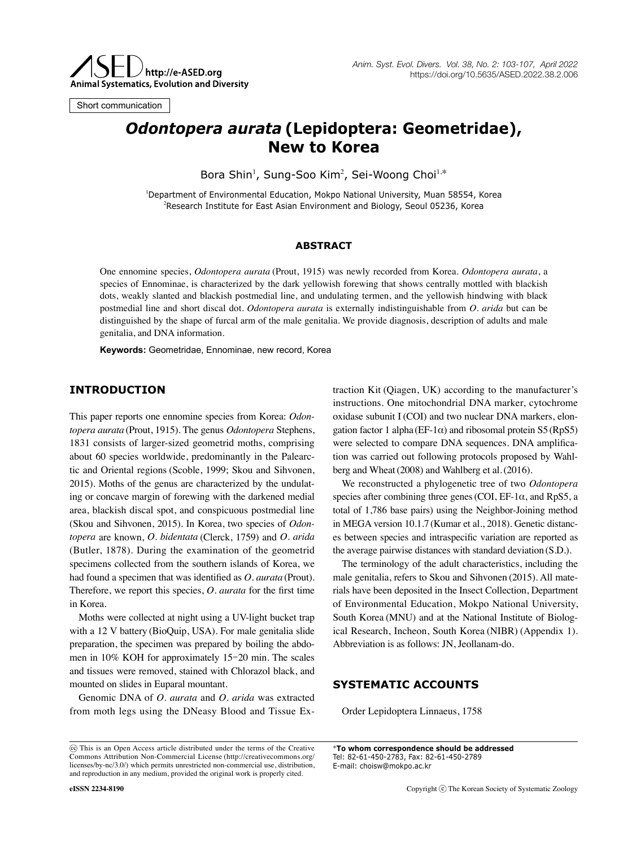

Short communication

# *Odontopera aurata* **(Lepidoptera: Geometridae), New to Korea**

Bora Shin<sup>1</sup>, Sung-Soo Kim<sup>2</sup>, Sei-Woong Choi<sup>1,\*</sup>

1 Department of Environmental Education, Mokpo National University, Muan 58554, Korea 2 Research Institute for East Asian Environment and Biology, Seoul 05236, Korea

#### **ABSTRACT**

One ennomine species, *Odontopera aurata* (Prout, 1915) was newly recorded from Korea. *Odontopera aurata*, a species of Ennominae, is characterized by the dark yellowish forewing that shows centrally mottled with blackish dots, weakly slanted and blackish postmedial line, and undulating termen, and the yellowish hindwing with black postmedial line and short discal dot. *Odontopera aurata* is externally indistinguishable from *O. arida* but can be distinguished by the shape of furcal arm of the male genitalia. We provide diagnosis, description of adults and male genitalia, and DNA information.

**Keywords:** Geometridae, Ennominae, new record, Korea

### **INTRODUCTION**

This paper reports one ennomine species from Korea: *Odontopera aurata* (Prout, 1915). The genus *Odontopera* Stephens, 1831 consists of larger-sized geometrid moths, comprising about 60 species worldwide, predominantly in the Palearctic and Oriental regions (Scoble, 1999; Skou and Sihvonen, 2015). Moths of the genus are characterized by the undulating or concave margin of forewing with the darkened medial area, blackish discal spot, and conspicuous postmedial line (Skou and Sihvonen, 2015). In Korea, two species of *Odontopera* are known, *O. bidentata* (Clerck, 1759) and *O. arida* (Butler, 1878). During the examination of the geometrid specimens collected from the southern islands of Korea, we had found a specimen that was identified as *O. aurata* (Prout). Therefore, we report this species, *O. aurata* for the first time in Korea.

Moths were collected at night using a UV-light bucket trap with a 12 V battery (BioQuip, USA). For male genitalia slide preparation, the specimen was prepared by boiling the abdomen in 10% KOH for approximately 15-20 min. The scales and tissues were removed, stained with Chlorazol black, and mounted on slides in Euparal mountant.

Genomic DNA of *O. aurata* and *O. arida* was extracted from moth legs using the DNeasy Blood and Tissue Extraction Kit (Qiagen, UK) according to the manufacturer's instructions. One mitochondrial DNA marker, cytochrome oxidase subunit I (COI) and two nuclear DNA markers, elongation factor 1 alpha (EF-1 $\alpha$ ) and ribosomal protein S5 (RpS5) were selected to compare DNA sequences. DNA amplification was carried out following protocols proposed by Wahlberg and Wheat(2008) and Wahlberg et al.(2016).

We reconstructed a phylogenetic tree of two *Odontopera* species after combining three genes (COI, EF-1 $\alpha$ , and RpS5, a total of 1,786 base pairs) using the Neighbor-Joining method in MEGA version 10.1.7 (Kumar et al., 2018). Genetic distances between species and intraspecific variation are reported as the average pairwise distances with standard deviation (S.D.).

The terminology of the adult characteristics, including the male genitalia, refers to Skou and Sihvonen (2015). All materials have been deposited in the Insect Collection, Department of Environmental Education, Mokpo National University, South Korea (MNU) and at the National Institute of Biological Research, Incheon, South Korea (NIBR) (Appendix 1). Abbreviation is as follows: JN, Jeollanam-do.

# **SYSTEMATIC ACCOUNTS**

Order Lepidoptera Linnaeus, 1758

\***To whom correspondence should be addressed** Tel: 82-61-450-2783, Fax: 82-61-450-2789 E-mail: choisw@mokpo.ac.kr

This is an Open Access article distributed under the terms of the Creative Commons Attribution Non-Commercial License (http://creativecommons.org/ licenses/by-nc/3.0/) which permits unrestricted non-commercial use, distribution, and reproduction in any medium, provided the original work is properly cited.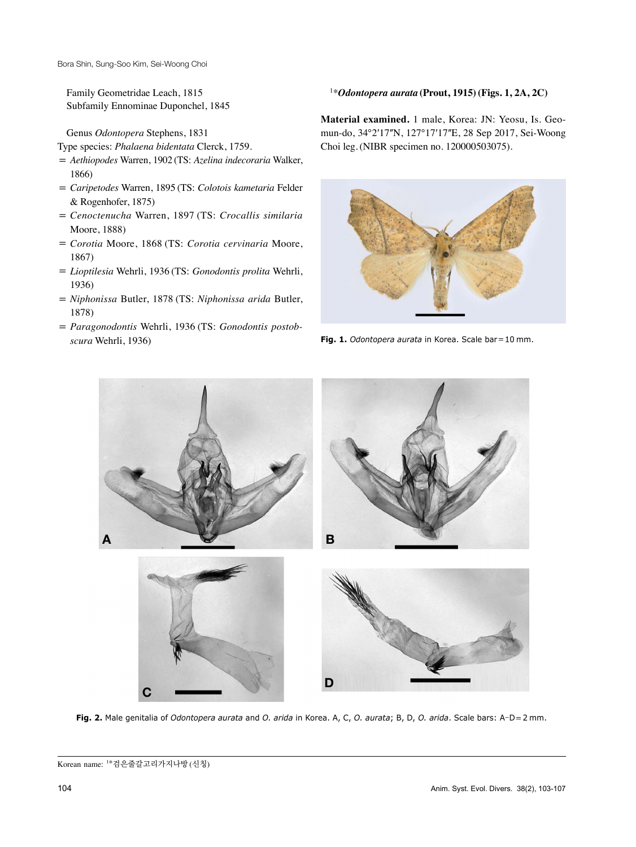Family Geometridae Leach, 1815 Subfamily Ennominae Duponchel, 1845

Genus *Odontopera* Stephens, 1831

Type species: *Phalaena bidentata* Clerck, 1759.

- = *Aethiopodes* Warren, 1902 (TS: *Azelina indecoraria* Walker, 1866)
- = *Caripetodes* Warren, 1895 (TS: *Colotois kametaria* Felder & Rogenhofer, 1875)
- = *Cenoctenucha* Warren, 1897 (TS: *Crocallis similaria* Moore, 1888)
- = *Corotia* Moore, 1868 (TS: *Corotia cervinaria* Moore, 1867)
- = *Lioptilesia* Wehrli, 1936 (TS: *Gonodontis prolita* Wehrli, 1936)
- = *Niphonissa* Butler, 1878 (TS: *Niphonissa arida* Butler, 1878)
- = *Paragonodontis* Wehrli, 1936 (TS: *Gonodontis postobscura* Wehrli, 1936)

#### 1\**Odontopera aurata* **(Prout, 1915)(Figs. 1, 2A, 2C)**

**Material examined.** 1 male, Korea: JN: Yeosu, Is. Geomun-do, 34°2ʹ17ʺN, 127°17ʹ17ʺE, 28 Sep 2017, Sei-Woong Choi leg.(NIBR specimen no. 120000503075).



**Fig. 1.** *Odontopera aurata* in Korea. Scale bar=10 mm.



**Fig. 2.** Male genitalia of *Odontopera aurata* and *O. arida* in Korea. A, C, *O. aurata*; B, D, *O. arida*. Scale bars: A-D=2 mm.

Korean name: 1\*검은줄갈고리가지나방 (신칭)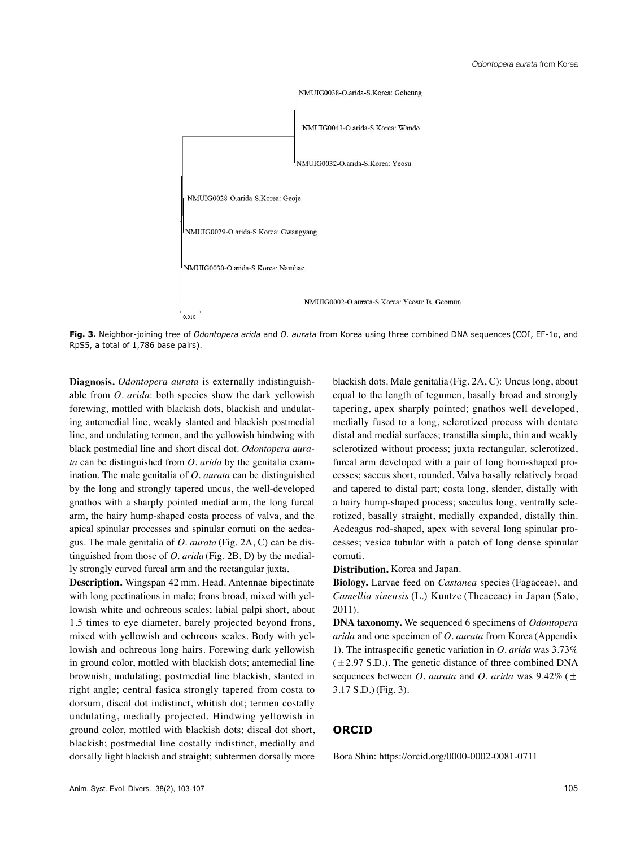

**Fig. 3.** Neighbor-joining tree of *Odontopera arida* and *O. aurata* from Korea using three combined DNA sequences (COI, EF-1α, and RpS5, a total of 1,786 base pairs).

**Diagnosis.** *Odontopera aurata* is externally indistinguishable from *O. arida*: both species show the dark yellowish forewing, mottled with blackish dots, blackish and undulating antemedial line, weakly slanted and blackish postmedial line, and undulating termen, and the yellowish hindwing with black postmedial line and short discal dot. *Odontopera aurata* can be distinguished from *O. arida* by the genitalia examination. The male genitalia of *O. aurata* can be distinguished by the long and strongly tapered uncus, the well-developed gnathos with a sharply pointed medial arm, the long furcal arm, the hairy hump-shaped costa process of valva, and the apical spinular processes and spinular cornuti on the aedeagus. The male genitalia of *O. aurata* (Fig. 2A, C) can be distinguished from those of *O. arida* (Fig. 2B, D) by the medially strongly curved furcal arm and the rectangular juxta.

**Description.** Wingspan 42 mm. Head. Antennae bipectinate with long pectinations in male; frons broad, mixed with yellowish white and ochreous scales; labial palpi short, about 1.5 times to eye diameter, barely projected beyond frons, mixed with yellowish and ochreous scales. Body with yellowish and ochreous long hairs. Forewing dark yellowish in ground color, mottled with blackish dots; antemedial line brownish, undulating; postmedial line blackish, slanted in right angle; central fasica strongly tapered from costa to dorsum, discal dot indistinct, whitish dot; termen costally undulating, medially projected. Hindwing yellowish in ground color, mottled with blackish dots; discal dot short, blackish; postmedial line costally indistinct, medially and dorsally light blackish and straight; subtermen dorsally more blackish dots. Male genitalia (Fig. 2A, C): Uncus long, about equal to the length of tegumen, basally broad and strongly tapering, apex sharply pointed; gnathos well developed, medially fused to a long, sclerotized process with dentate distal and medial surfaces; transtilla simple, thin and weakly sclerotized without process; juxta rectangular, sclerotized, furcal arm developed with a pair of long horn-shaped processes; saccus short, rounded. Valva basally relatively broad and tapered to distal part; costa long, slender, distally with a hairy hump-shaped process; sacculus long, ventrally sclerotized, basally straight, medially expanded, distally thin. Aedeagus rod-shaped, apex with several long spinular processes; vesica tubular with a patch of long dense spinular cornuti.

**Distribution.** Korea and Japan.

**Biology.** Larvae feed on *Castanea* species (Fagaceae), and *Camellia sinensis* (L.) Kuntze (Theaceae) in Japan (Sato, 2011).

**DNA taxonomy.** We sequenced 6 specimens of *Odontopera arida* and one specimen of *O. aurata* from Korea (Appendix 1). The intraspecific genetic variation in *O. arida* was 3.73%  $(\pm 2.97 \text{ S.D.})$ . The genetic distance of three combined DNA sequences between *O. aurata* and *O. arida* was 9.42% (± 3.17 S.D.)(Fig. 3).

### **ORCID**

Bora Shin: https://orcid.org/0000-0002-0081-0711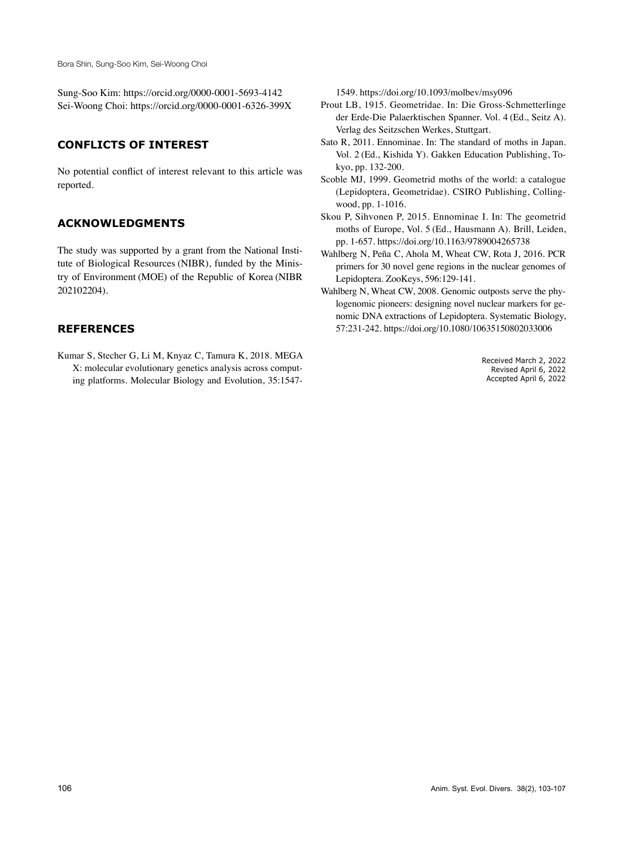Bora Shin, Sung-Soo Kim, Sei-Woong Choi

Sung-Soo Kim: https://orcid.org/0000-0001-5693-4142 Sei-Woong Choi: https://orcid.org/0000-0001-6326-399X

## **CONFLICTS OF INTEREST**

No potential conflict of interest relevant to this article was reported.

## **ACKNOWLEDGMENTS**

The study was supported by a grant from the National Institute of Biological Resources (NIBR), funded by the Ministry of Environment (MOE) of the Republic of Korea (NIBR 202102204).

### **REFERENCES**

Kumar S, Stecher G, Li M, Knyaz C, Tamura K, 2018. MEGA X: molecular evolutionary genetics analysis across computing platforms. Molecular Biology and Evolution, 35:15471549. https://doi.org/10.1093/molbev/msy096

- Prout LB, 1915. Geometridae. In: Die Gross-Schmetterlinge der Erde-Die Palaerktischen Spanner. Vol. 4 (Ed., Seitz A). Verlag des Seitzschen Werkes, Stuttgart.
- Sato R, 2011. Ennominae. In: The standard of moths in Japan. Vol. 2 (Ed., Kishida Y). Gakken Education Publishing, Tokyo, pp. 132-200.
- Scoble MJ, 1999. Geometrid moths of the world: a catalogue (Lepidoptera, Geometridae). CSIRO Publishing, Collingwood, pp. 1-1016.
- Skou P, Sihvonen P, 2015. Ennominae I. In: The geometrid moths of Europe, Vol. 5 (Ed., Hausmann A). Brill, Leiden, pp. 1-657. https://doi.org/10.1163/9789004265738
- Wahlberg N, Peña C, Ahola M, Wheat CW, Rota J, 2016. PCR primers for 30 novel gene regions in the nuclear genomes of Lepidoptera. ZooKeys, 596:129-141.
- Wahlberg N, Wheat CW, 2008. Genomic outposts serve the phylogenomic pioneers: designing novel nuclear markers for genomic DNA extractions of Lepidoptera. Systematic Biology, 57:231-242. https://doi.org/10.1080/10635150802033006

Received March 2, 2022 Revised April 6, 2022 Accepted April 6, 2022